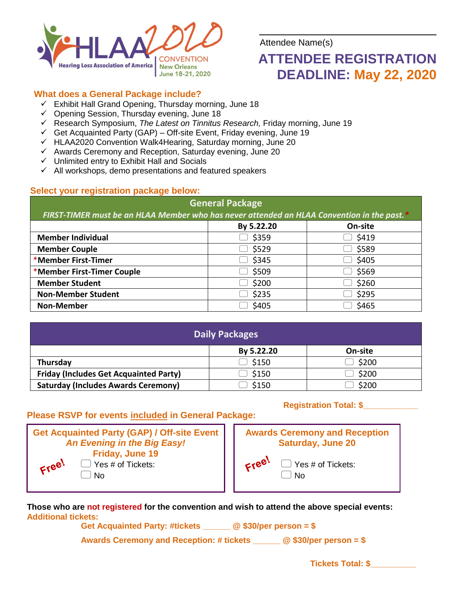

Attendee Name(s)

# **ATTENDEE REGISTRATION DEADLINE: May 22, 2020**

# **What does a General Package include?**

- $\checkmark$  Exhibit Hall Grand Opening, Thursday morning, June 18
- $\checkmark$  Opening Session, Thursday evening, June 18
- Research Symposium, *The Latest on Tinnitus Research,* Friday morning, June 19
- $\checkmark$  Get Acquainted Party (GAP) Off-site Event, Friday evening, June 19
- HLAA2020 Convention Walk4Hearing, Saturday morning, June 20
- $\checkmark$  Awards Ceremony and Reception, Saturday evening, June 20
- $\checkmark$  Unlimited entry to Exhibit Hall and Socials
- $\checkmark$  All workshops, demo presentations and featured speakers

# **Select your registration package below:**

# **General Package**

*FIRST-TIMER must be an HLAA Member who has never attended an HLAA Convention in the past.\**

|                            | By 5.22.20 | On-site |
|----------------------------|------------|---------|
| <b>Member Individual</b>   | \$359      | \$419   |
| <b>Member Couple</b>       | \$529      | \$589   |
| *Member First-Timer        | \$345      | \$405   |
| *Member First-Timer Couple | \$509      | \$569   |
| <b>Member Student</b>      | \$200      | \$260   |
| <b>Non-Member Student</b>  | \$235      | \$295   |
| <b>Non-Member</b>          | \$405      | \$465   |

| <b>Daily Packages</b>                         |            |         |  |  |  |
|-----------------------------------------------|------------|---------|--|--|--|
|                                               | By 5.22.20 | On-site |  |  |  |
| Thursday                                      | \$150      | \$200   |  |  |  |
| <b>Friday (Includes Get Acquainted Party)</b> | \$150      | \$200   |  |  |  |
| <b>Saturday (Includes Awards Ceremony)</b>    | \$150      | \$200   |  |  |  |

# **Please RSVP for events included in General Package:**

|                             | <b>Get Acquainted Party (GAP) / Off-site Event</b>       |  |  |  |
|-----------------------------|----------------------------------------------------------|--|--|--|
| An Evening in the Big Easy! |                                                          |  |  |  |
| Free!                       | Friday, June 19<br>$\Box$ Yes # of Tickets:<br>$\Box$ No |  |  |  |

# **Registration Total: \$\_\_\_\_\_\_\_\_\_\_\_\_**



 $\Box$  Yes # of Tickets:  $\Box$  No

**Those who are not registered for the convention and wish to attend the above special events: Additional tickets:** 

**Get Acquainted Party: #tickets \_\_\_\_\_\_ @ \$30/per person = \$**

**Awards Ceremony and Reception: # tickets \_\_\_\_\_\_ @ \$30/per person = \$**